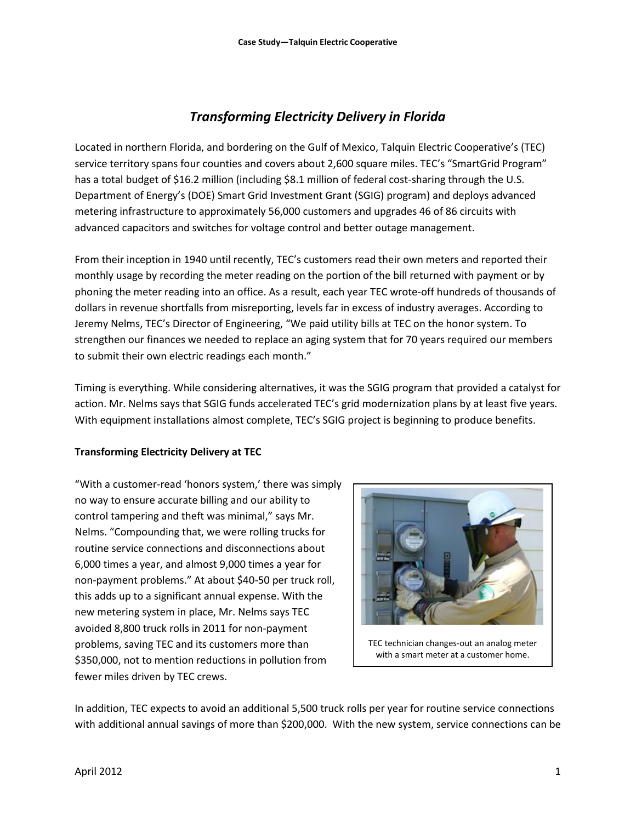# *Transforming Electricity Delivery in Florida*

Located in northern Florida, and bordering on the Gulf of Mexico, Talquin Electric Cooperative's (TEC) service territory spans four counties and covers about 2,600 square miles. TEC's "SmartGrid Program" has a total budget of \$16.2 million (including \$8.1 million of federal cost-sharing through the U.S. Department of Energy's (DOE) Smart Grid Investment Grant (SGIG) program) and deploys advanced metering infrastructure to approximately 56,000 customers and upgrades 46 of 86 circuits with advanced capacitors and switches for voltage control and better outage management.

From their inception in 1940 until recently, TEC's customers read their own meters and reported their monthly usage by recording the meter reading on the portion of the bill returned with payment or by phoning the meter reading into an office. As a result, each year TEC wrote-off hundreds of thousands of dollars in revenue shortfalls from misreporting, levels far in excess of industry averages. According to Jeremy Nelms, TEC's Director of Engineering, "We paid utility bills at TEC on the honor system. To strengthen our finances we needed to replace an aging system that for 70 years required our members to submit their own electric readings each month."

Timing is everything. While considering alternatives, it was the SGIG program that provided a catalyst for action. Mr. Nelms says that SGIG funds accelerated TEC's grid modernization plans by at least five years. With equipment installations almost complete, TEC's SGIG project is beginning to produce benefits.

## **Transforming Electricity Delivery at TEC**

"With a customer-read 'honors system,' there was simply no way to ensure accurate billing and our ability to control tampering and theft was minimal," says Mr. Nelms. "Compounding that, we were rolling trucks for routine service connections and disconnections about 6,000 times a year, and almost 9,000 times a year for non-payment problems." At about \$40-50 per truck roll, this adds up to a significant annual expense. With the new metering system in place, Mr. Nelms says TEC avoided 8,800 truck rolls in 2011 for non-payment problems, saving TEC and its customers more than \$350,000, not to mention reductions in pollution from fewer miles driven by TEC crews.



TEC technician changes-out an analog meter with a smart meter at a customer home.

In addition, TEC expects to avoid an additional 5,500 truck rolls per year for routine service connections with additional annual savings of more than \$200,000. With the new system, service connections can be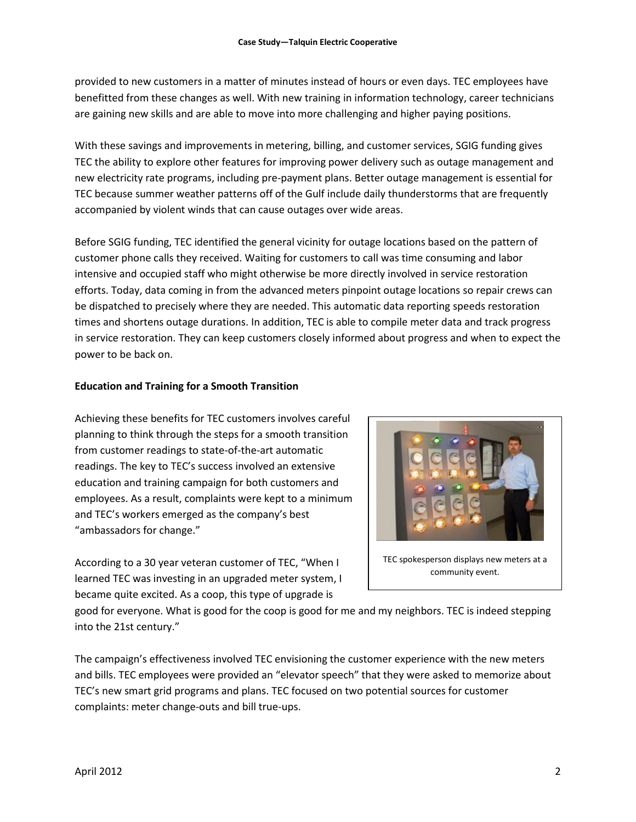provided to new customers in a matter of minutes instead of hours or even days. TEC employees have benefitted from these changes as well. With new training in information technology, career technicians are gaining new skills and are able to move into more challenging and higher paying positions.

With these savings and improvements in metering, billing, and customer services, SGIG funding gives TEC the ability to explore other features for improving power delivery such as outage management and new electricity rate programs, including pre-payment plans. Better outage management is essential for TEC because summer weather patterns off of the Gulf include daily thunderstorms that are frequently accompanied by violent winds that can cause outages over wide areas.

Before SGIG funding, TEC identified the general vicinity for outage locations based on the pattern of customer phone calls they received. Waiting for customers to call was time consuming and labor intensive and occupied staff who might otherwise be more directly involved in service restoration efforts. Today, data coming in from the advanced meters pinpoint outage locations so repair crews can be dispatched to precisely where they are needed. This automatic data reporting speeds restoration times and shortens outage durations. In addition, TEC is able to compile meter data and track progress in service restoration. They can keep customers closely informed about progress and when to expect the power to be back on.

### **Education and Training for a Smooth Transition**

Achieving these benefits for TEC customers involves careful planning to think through the steps for a smooth transition from customer readings to state-of-the-art automatic readings. The key to TEC's success involved an extensive education and training campaign for both customers and employees. As a result, complaints were kept to a minimum and TEC's workers emerged as the company's best "ambassadors for change."

According to a 30 year veteran customer of TEC, "When I learned TEC was investing in an upgraded meter system, I became quite excited. As a coop, this type of upgrade is



TEC spokesperson displays new meters at a community event.

good for everyone. What is good for the coop is good for me and my neighbors. TEC is indeed stepping into the 21st century."

The campaign's effectiveness involved TEC envisioning the customer experience with the new meters and bills. TEC employees were provided an "elevator speech" that they were asked to memorize about TEC's new smart grid programs and plans. TEC focused on two potential sources for customer complaints: meter change-outs and bill true-ups.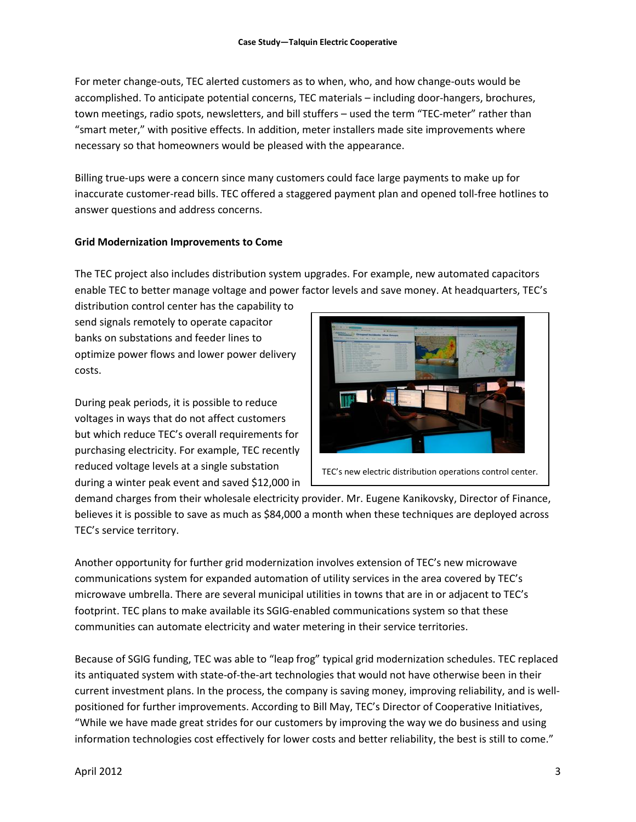For meter change-outs, TEC alerted customers as to when, who, and how change-outs would be accomplished. To anticipate potential concerns, TEC materials – including door-hangers, brochures, town meetings, radio spots, newsletters, and bill stuffers – used the term "TEC-meter" rather than "smart meter," with positive effects. In addition, meter installers made site improvements where necessary so that homeowners would be pleased with the appearance.

Billing true-ups were a concern since many customers could face large payments to make up for inaccurate customer-read bills. TEC offered a staggered payment plan and opened toll-free hotlines to answer questions and address concerns.

### **Grid Modernization Improvements to Come**

The TEC project also includes distribution system upgrades. For example, new automated capacitors enable TEC to better manage voltage and power factor levels and save money. At headquarters, TEC's

distribution control center has the capability to send signals remotely to operate capacitor banks on substations and feeder lines to optimize power flows and lower power delivery costs.

During peak periods, it is possible to reduce voltages in ways that do not affect customers but which reduce TEC's overall requirements for purchasing electricity. For example, TEC recently reduced voltage levels at a single substation during a winter peak event and saved \$12,000 in



TEC's new electric distribution operations control center.

demand charges from their wholesale electricity provider. Mr. Eugene Kanikovsky, Director of Finance, believes it is possible to save as much as \$84,000 a month when these techniques are deployed across TEC's service territory.

Another opportunity for further grid modernization involves extension of TEC's new microwave communications system for expanded automation of utility services in the area covered by TEC's microwave umbrella. There are several municipal utilities in towns that are in or adjacent to TEC's footprint. TEC plans to make available its SGIG-enabled communications system so that these communities can automate electricity and water metering in their service territories.

Because of SGIG funding, TEC was able to "leap frog" typical grid modernization schedules. TEC replaced its antiquated system with state-of-the-art technologies that would not have otherwise been in their current investment plans. In the process, the company is saving money, improving reliability, and is wellpositioned for further improvements. According to Bill May, TEC's Director of Cooperative Initiatives, "While we have made great strides for our customers by improving the way we do business and using information technologies cost effectively for lower costs and better reliability, the best is still to come."